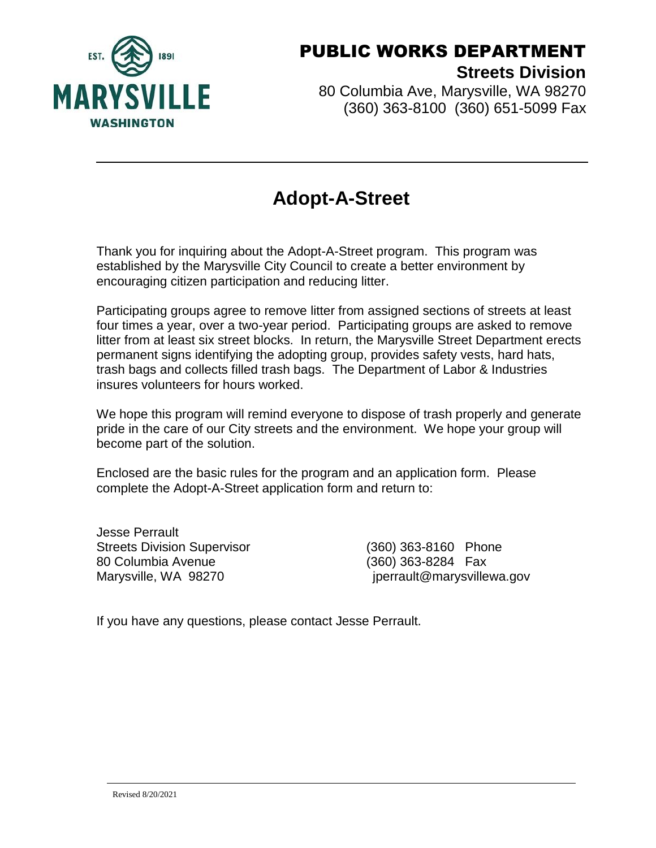

80 Columbia Ave, Marysville, WA 98270 (360) 363-8100 (360) 651-5099 Fax

# **Adopt-A-Street**

Thank you for inquiring about the Adopt-A-Street program. This program was established by the Marysville City Council to create a better environment by encouraging citizen participation and reducing litter.

Participating groups agree to remove litter from assigned sections of streets at least four times a year, over a two-year period. Participating groups are asked to remove litter from at least six street blocks. In return, the Marysville Street Department erects permanent signs identifying the adopting group, provides safety vests, hard hats, trash bags and collects filled trash bags. The Department of Labor & Industries insures volunteers for hours worked.

We hope this program will remind everyone to dispose of trash properly and generate pride in the care of our City streets and the environment. We hope your group will become part of the solution.

Enclosed are the basic rules for the program and an application form. Please complete the Adopt-A-Street application form and return to:

Jesse Perrault Streets Division Supervisor (360) 363-8160 Phone 80 Columbia Avenue (360) 363-8284 Fax

Marysville, WA 98270 **interprettive and intervalse intervalse in the marysvillewa.gov** 

If you have any questions, please contact Jesse Perrault.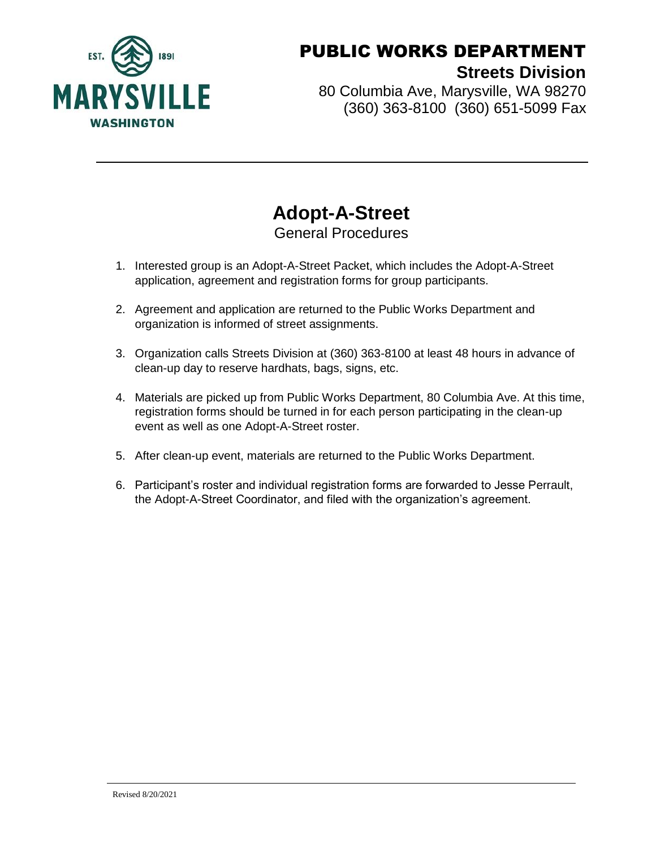

80 Columbia Ave, Marysville, WA 98270 (360) 363-8100 (360) 651-5099 Fax

#### **Adopt-A-Street** General Procedures

- 1. Interested group is an Adopt-A-Street Packet, which includes the Adopt-A-Street application, agreement and registration forms for group participants.
- 2. Agreement and application are returned to the Public Works Department and organization is informed of street assignments.
- 3. Organization calls Streets Division at (360) 363-8100 at least 48 hours in advance of clean-up day to reserve hardhats, bags, signs, etc.
- 4. Materials are picked up from Public Works Department, 80 Columbia Ave. At this time, registration forms should be turned in for each person participating in the clean-up event as well as one Adopt-A-Street roster.
- 5. After clean-up event, materials are returned to the Public Works Department.
- 6. Participant's roster and individual registration forms are forwarded to Jesse Perrault, the Adopt-A-Street Coordinator, and filed with the organization's agreement.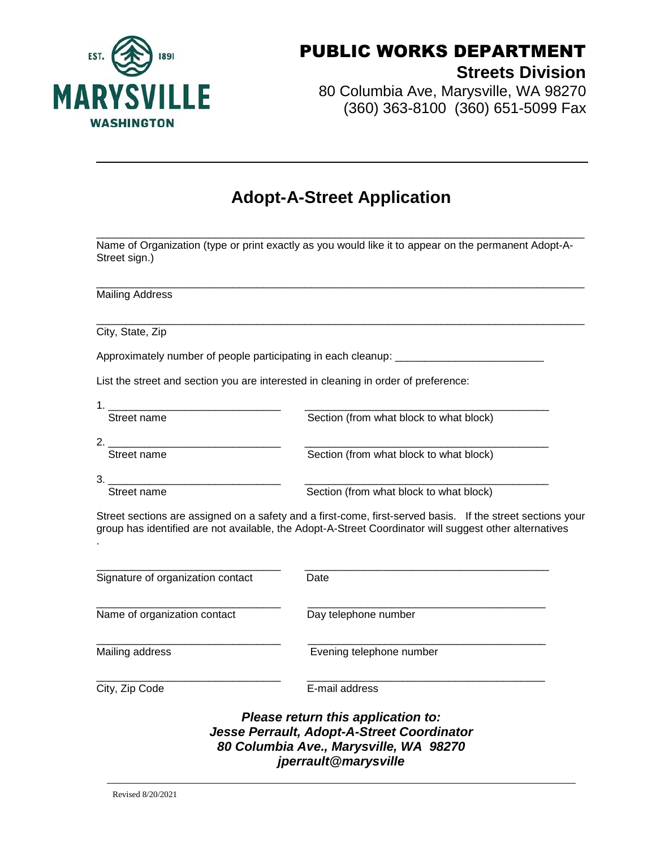

80 Columbia Ave, Marysville, WA 98270 (360) 363-8100 (360) 651-5099 Fax

#### **Adopt-A-Street Application**

\_\_\_\_\_\_\_\_\_\_\_\_\_\_\_\_\_\_\_\_\_\_\_\_\_\_\_\_\_\_\_\_\_\_\_\_\_\_\_\_\_\_\_\_\_\_\_\_\_\_\_\_\_\_\_\_\_\_\_\_\_\_\_\_\_\_\_\_\_\_\_\_\_\_\_\_\_\_\_\_\_\_ Name of Organization (type or print exactly as you would like it to appear on the permanent Adopt-A-Street sign.)

\_\_\_\_\_\_\_\_\_\_\_\_\_\_\_\_\_\_\_\_\_\_\_\_\_\_\_\_\_\_\_\_\_\_\_\_\_\_\_\_\_\_\_\_\_\_\_\_\_\_\_\_\_\_\_\_\_\_\_\_\_\_\_\_\_\_\_\_\_\_\_\_\_\_\_\_\_\_\_\_\_\_

\_\_\_\_\_\_\_\_\_\_\_\_\_\_\_\_\_\_\_\_\_\_\_\_\_\_\_\_\_\_\_\_\_\_\_\_\_\_\_\_\_\_\_\_\_\_\_\_\_\_\_\_\_\_\_\_\_\_\_\_\_\_\_\_\_\_\_\_\_\_\_\_\_\_\_\_\_\_\_\_\_\_

Mailing Address

City, State, Zip

Approximately number of people participating in each cleanup: \_\_\_\_\_\_\_\_\_\_\_\_\_\_\_\_\_\_

List the street and section you are interested in cleaning in order of preference:

| Street name   | Section (from what block to what block) |
|---------------|-----------------------------------------|
| ◠<br><u>.</u> |                                         |

Street name Section (from what block to what block)

3. \_\_\_\_\_\_\_\_\_\_\_\_\_\_\_\_\_\_\_\_\_\_\_\_\_\_\_\_\_ \_\_\_\_\_\_\_\_\_\_\_\_\_\_\_\_\_\_\_\_\_\_\_\_\_\_\_\_\_\_\_\_\_\_\_\_\_\_\_\_\_

Street name Section (from what block to what block)

Street sections are assigned on a safety and a first-come, first-served basis. If the street sections your group has identified are not available, the Adopt-A-Street Coordinator will suggest other alternatives .

| Signature of organization contact                                                                                                                  | Date                     |  |  |  |
|----------------------------------------------------------------------------------------------------------------------------------------------------|--------------------------|--|--|--|
| Name of organization contact                                                                                                                       | Day telephone number     |  |  |  |
| Mailing address                                                                                                                                    | Evening telephone number |  |  |  |
| City, Zip Code                                                                                                                                     | E-mail address           |  |  |  |
| Please return this application to:<br>Jesse Perrault, Adopt-A-Street Coordinator<br>80 Columbia Ave., Marysville, WA 98270<br>jperrault@marysville |                          |  |  |  |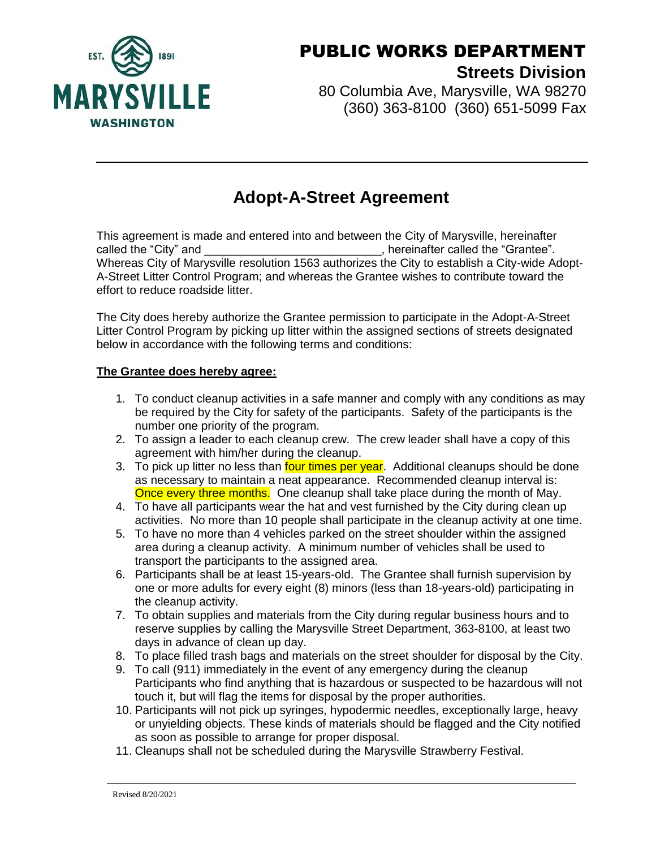

80 Columbia Ave, Marysville, WA 98270 (360) 363-8100 (360) 651-5099 Fax

### **Adopt-A-Street Agreement**

This agreement is made and entered into and between the City of Marysville, hereinafter called the "City" and  $\Box$  called the "Grantee". Whereas City of Marysville resolution 1563 authorizes the City to establish a City-wide Adopt-A-Street Litter Control Program; and whereas the Grantee wishes to contribute toward the effort to reduce roadside litter.

The City does hereby authorize the Grantee permission to participate in the Adopt-A-Street Litter Control Program by picking up litter within the assigned sections of streets designated below in accordance with the following terms and conditions:

#### **The Grantee does hereby agree:**

- 1. To conduct cleanup activities in a safe manner and comply with any conditions as may be required by the City for safety of the participants. Safety of the participants is the number one priority of the program.
- 2. To assign a leader to each cleanup crew. The crew leader shall have a copy of this agreement with him/her during the cleanup.
- 3. To pick up litter no less than four times per year. Additional cleanups should be done as necessary to maintain a neat appearance. Recommended cleanup interval is: Once every three months. One cleanup shall take place during the month of May.
- 4. To have all participants wear the hat and vest furnished by the City during clean up activities. No more than 10 people shall participate in the cleanup activity at one time.
- 5. To have no more than 4 vehicles parked on the street shoulder within the assigned area during a cleanup activity. A minimum number of vehicles shall be used to transport the participants to the assigned area.
- 6. Participants shall be at least 15-years-old. The Grantee shall furnish supervision by one or more adults for every eight (8) minors (less than 18-years-old) participating in the cleanup activity.
- 7. To obtain supplies and materials from the City during regular business hours and to reserve supplies by calling the Marysville Street Department, 363-8100, at least two days in advance of clean up day.
- 8. To place filled trash bags and materials on the street shoulder for disposal by the City.
- 9. To call (911) immediately in the event of any emergency during the cleanup Participants who find anything that is hazardous or suspected to be hazardous will not touch it, but will flag the items for disposal by the proper authorities.
- 10. Participants will not pick up syringes, hypodermic needles, exceptionally large, heavy or unyielding objects. These kinds of materials should be flagged and the City notified as soon as possible to arrange for proper disposal.
- 11. Cleanups shall not be scheduled during the Marysville Strawberry Festival.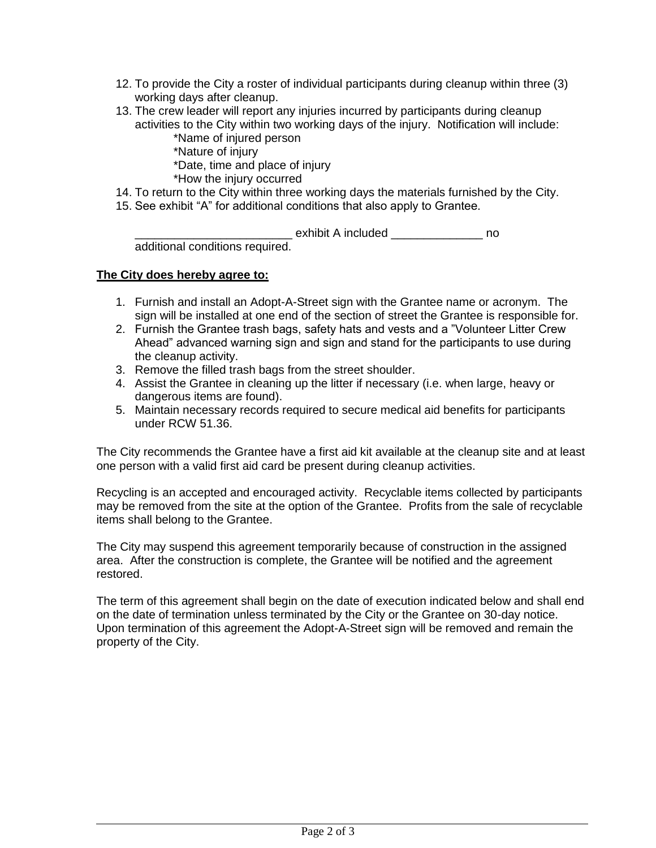- 12. To provide the City a roster of individual participants during cleanup within three (3) working days after cleanup.
- 13. The crew leader will report any injuries incurred by participants during cleanup activities to the City within two working days of the injury. Notification will include: \*Name of injured person
	- \*Nature of injury
	- \*Date, time and place of injury
	- \*How the injury occurred
- 14. To return to the City within three working days the materials furnished by the City.
- 15. See exhibit "A" for additional conditions that also apply to Grantee.

\_\_\_\_\_\_\_\_\_\_\_\_\_\_\_\_\_\_\_\_\_\_\_\_ exhibit A included \_\_\_\_\_\_\_\_\_\_\_\_\_\_ no additional conditions required.

#### **The City does hereby agree to:**

- 1. Furnish and install an Adopt-A-Street sign with the Grantee name or acronym. The sign will be installed at one end of the section of street the Grantee is responsible for.
- 2. Furnish the Grantee trash bags, safety hats and vests and a "Volunteer Litter Crew Ahead" advanced warning sign and sign and stand for the participants to use during the cleanup activity.
- 3. Remove the filled trash bags from the street shoulder.
- 4. Assist the Grantee in cleaning up the litter if necessary (i.e. when large, heavy or dangerous items are found).
- 5. Maintain necessary records required to secure medical aid benefits for participants under RCW 51.36.

The City recommends the Grantee have a first aid kit available at the cleanup site and at least one person with a valid first aid card be present during cleanup activities.

Recycling is an accepted and encouraged activity. Recyclable items collected by participants may be removed from the site at the option of the Grantee. Profits from the sale of recyclable items shall belong to the Grantee.

The City may suspend this agreement temporarily because of construction in the assigned area. After the construction is complete, the Grantee will be notified and the agreement restored.

The term of this agreement shall begin on the date of execution indicated below and shall end on the date of termination unless terminated by the City or the Grantee on 30-day notice. Upon termination of this agreement the Adopt-A-Street sign will be removed and remain the property of the City.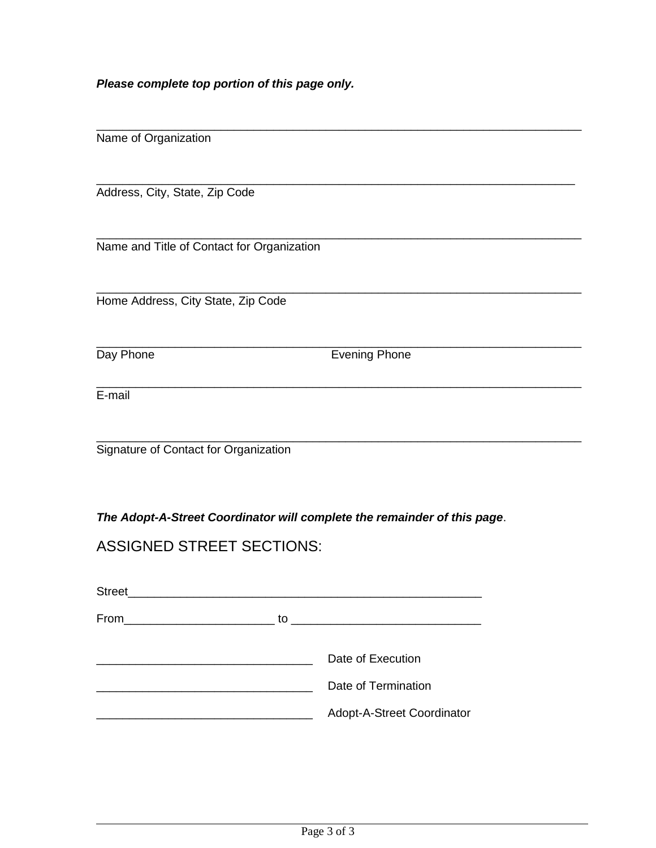*Please complete top portion of this page only.* 

| Name of Organization |  |
|----------------------|--|
|                      |  |

Address, City, State, Zip Code

\_\_\_\_\_\_\_\_\_\_\_\_\_\_\_\_\_\_\_\_\_\_\_\_\_\_\_\_\_\_\_\_\_\_\_\_\_\_\_\_\_\_\_\_\_\_\_\_\_\_\_\_\_\_\_\_\_\_\_\_\_\_\_\_\_\_\_\_\_\_\_\_\_\_ Name and Title of Contact for Organization

Home Address, City State, Zip Code

\_\_\_\_\_\_\_\_\_\_\_\_\_\_\_\_\_\_\_\_\_\_\_\_\_\_\_\_\_\_\_\_\_\_\_\_\_\_\_\_\_\_\_\_\_\_\_\_\_\_\_\_\_\_\_\_\_\_\_\_\_\_\_\_\_\_\_\_\_\_\_\_\_\_

Day Phone **Evening Phone** 

\_\_\_\_\_\_\_\_\_\_\_\_\_\_\_\_\_\_\_\_\_\_\_\_\_\_\_\_\_\_\_\_\_\_\_\_\_\_\_\_\_\_\_\_\_\_\_\_\_\_\_\_\_\_\_\_\_\_\_\_\_\_\_\_\_\_\_\_\_\_\_\_\_\_

\_\_\_\_\_\_\_\_\_\_\_\_\_\_\_\_\_\_\_\_\_\_\_\_\_\_\_\_\_\_\_\_\_\_\_\_\_\_\_\_\_\_\_\_\_\_\_\_\_\_\_\_\_\_\_\_\_\_\_\_\_\_\_\_\_\_\_\_\_\_\_\_\_

\_\_\_\_\_\_\_\_\_\_\_\_\_\_\_\_\_\_\_\_\_\_\_\_\_\_\_\_\_\_\_\_\_\_\_\_\_\_\_\_\_\_\_\_\_\_\_\_\_\_\_\_\_\_\_\_\_\_\_\_\_\_\_\_\_\_\_\_\_\_\_\_\_\_

\_\_\_\_\_\_\_\_\_\_\_\_\_\_\_\_\_\_\_\_\_\_\_\_\_\_\_\_\_\_\_\_\_\_\_\_\_\_\_\_\_\_\_\_\_\_\_\_\_\_\_\_\_\_\_\_\_\_\_\_\_\_\_\_\_\_\_\_\_\_\_\_\_\_ E-mail

\_\_\_\_\_\_\_\_\_\_\_\_\_\_\_\_\_\_\_\_\_\_\_\_\_\_\_\_\_\_\_\_\_\_\_\_\_\_\_\_\_\_\_\_\_\_\_\_\_\_\_\_\_\_\_\_\_\_\_\_\_\_\_\_\_\_\_\_\_\_\_\_\_\_ Signature of Contact for Organization

*The Adopt-A-Street Coordinator will complete the remainder of this page*.

ASSIGNED STREET SECTIONS:

| <b>Street</b> |                                |
|---------------|--------------------------------|
| From          | to $\overline{\qquad \qquad }$ |
|               | Date of Execution              |
|               | Date of Termination            |
|               | Adopt-A-Street Coordinator     |